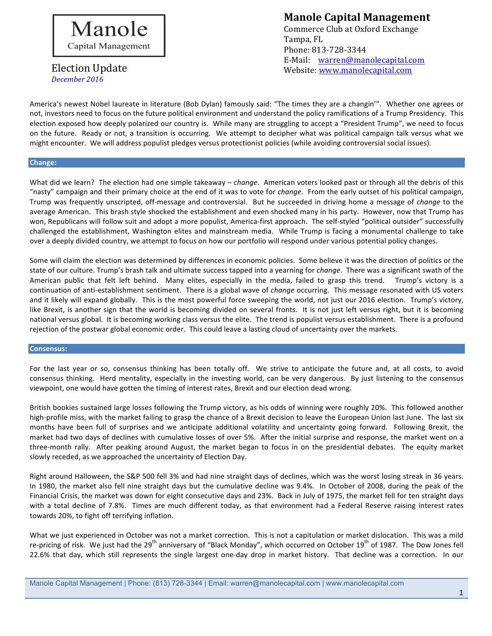

### **Manole Capital Management** Commerce Club at Oxford Exchange Tampa, FL Phone: 813-728-3344 E-Mail: warren@manolecapital.com Website: www.manolecapital.com

America's newest Nobel laureate in literature (Bob Dylan) famously said: "The times they are a changin'". Whether one agrees or not, investors need to focus on the future political environment and understand the policy ramifications of a Trump Presidency. This election exposed how deeply polarized our country is. While many are struggling to accept a "President Trump", we need to focus on the future. Ready or not, a transition is occurring. We attempt to decipher what was political campaign talk versus what we might encounter. We will address populist pledges versus protectionist policies (while avoiding controversial social issues).

### **Change:**

What did we learn? The election had one simple takeaway – *change*. American voters looked past or through all the debris of this "nasty" campaign and their primary choice at the end of it was to vote for *change*. From the early outset of his political campaign, Trump was frequently unscripted, off-message and controversial. But he succeeded in driving home a message of *change* to the average American. This brash style shocked the establishment and even shocked many in his party. However, now that Trump has won, Republicans will follow suit and adopt a more populist, America-first approach. The self-styled "political outsider" successfully challenged the establishment, Washington elites and mainstream media. While Trump is facing a monumental challenge to take over a deeply divided country, we attempt to focus on how our portfolio will respond under various potential policy changes.

Some will claim the election was determined by differences in economic policies. Some believe it was the direction of politics or the state of our culture. Trump's brash talk and ultimate success tapped into a yearning for *change*. There was a significant swath of the American public that felt left behind. Many elites, especially in the media, failed to grasp this trend. Trump's victory is a continuation of anti-establishment sentiment. There is a global wave of *change* occurring. This message resonated with US voters and it likely will expand globally. This is the most powerful force sweeping the world, not just our 2016 election. Trump's victory, like Brexit, is another sign that the world is becoming divided on several fronts. It is not just left versus right, but it is becoming national versus global. It is becoming working class versus the elite. The trend is populist versus establishment. There is a profound rejection of the postwar global economic order. This could leave a lasting cloud of uncertainty over the markets.

### **Consensus:**

For the last year or so, consensus thinking has been totally off. We strive to anticipate the future and, at all costs, to avoid consensus thinking. Herd mentality, especially in the investing world, can be very dangerous. By just listening to the consensus viewpoint, one would have gotten the timing of interest rates, Brexit and our election dead wrong.

British bookies sustained large losses following the Trump victory, as his odds of winning were roughly 20%. This followed another high-profile miss, with the market failing to grasp the chance of a Brexit decision to leave the European Union last June. The last six months have been full of surprises and we anticipate additional volatility and uncertainty going forward. Following Brexit, the market had two days of declines with cumulative losses of over 5%. After the initial surprise and response, the market went on a three-month rally. After peaking around August, the market began to focus in on the presidential debates. The equity market slowly receded, as we approached the uncertainty of Election Day.

Right around Halloween, the S&P 500 fell 3% and had nine straight days of declines, which was the worst losing streak in 36 years. In 1980, the market also fell nine straight days but the cumulative decline was 9.4%. In October of 2008, during the peak of the Financial Crisis, the market was down for eight consecutive days and 23%. Back in July of 1975, the market fell for ten straight days with a total decline of 7.8%. Times are much different today, as that environment had a Federal Reserve raising interest rates towards 20%, to fight off terrifying inflation.

What we just experienced in October was not a market correction. This is not a capitulation or market dislocation. This was a mild re-pricing of risk. We just had the 29<sup>th</sup> anniversary of "Black Monday", which occurred on October 19<sup>th</sup> of 1987. The Dow Jones fell 22.6% that day, which still represents the single largest one-day drop in market history. That decline was a correction. In our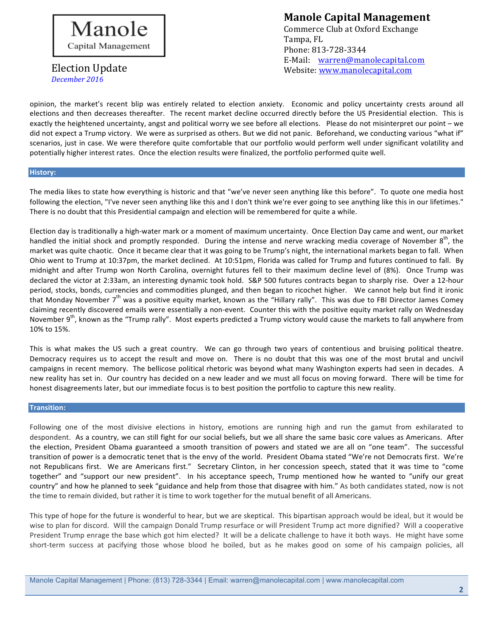

**Manole Capital Management** Commerce Club at Oxford Exchange Tampa, FL Phone: 813-728-3344 E-Mail: warren@manolecapital.com Website: www.manolecapital.com

opinion, the market's recent blip was entirely related to election anxiety. Economic and policy uncertainty crests around all elections and then decreases thereafter. The recent market decline occurred directly before the US Presidential election. This is exactly the heightened uncertainty, angst and political worry we see before all elections. Please do not misinterpret our point – we did not expect a Trump victory. We were as surprised as others. But we did not panic. Beforehand, we conducting various "what if" scenarios, just in case. We were therefore quite comfortable that our portfolio would perform well under significant volatility and potentially higher interest rates. Once the election results were finalized, the portfolio performed quite well.

### **History:**

The media likes to state how everything is historic and that "we've never seen anything like this before". To quote one media host following the election, "I've never seen anything like this and I don't think we're ever going to see anything like this in our lifetimes." There is no doubt that this Presidential campaign and election will be remembered for quite a while.

Election day is traditionally a high-water mark or a moment of maximum uncertainty. Once Election Day came and went, our market handled the initial shock and promptly responded. During the intense and nerve wracking media coverage of November  $8^{th}$ , the market was quite chaotic. Once it became clear that it was going to be Trump's night, the international markets began to fall. When Ohio went to Trump at 10:37pm, the market declined. At 10:51pm, Florida was called for Trump and futures continued to fall. By midnight and after Trump won North Carolina, overnight futures fell to their maximum decline level of (8%). Once Trump was declared the victor at 2:33am, an interesting dynamic took hold. S&P 500 futures contracts began to sharply rise. Over a 12-hour period, stocks, bonds, currencies and commodities plunged, and then began to ricochet higher. We cannot help but find it ironic that Monday November  $7<sup>th</sup>$  was a positive equity market, known as the "Hillary rally". This was due to FBI Director James Comey claiming recently discovered emails were essentially a non-event. Counter this with the positive equity market rally on Wednesday November 9<sup>th</sup>, known as the "Trump rally". Most experts predicted a Trump victory would cause the markets to fall anywhere from 10% to 15%.

This is what makes the US such a great country. We can go through two years of contentious and bruising political theatre. Democracy requires us to accept the result and move on. There is no doubt that this was one of the most brutal and uncivil campaigns in recent memory. The bellicose political rhetoric was beyond what many Washington experts had seen in decades. A new reality has set in. Our country has decided on a new leader and we must all focus on moving forward. There will be time for honest disagreements later, but our immediate focus is to best position the portfolio to capture this new reality.

### **Transition:**

Following one of the most divisive elections in history, emotions are running high and run the gamut from exhilarated to despondent. As a country, we can still fight for our social beliefs, but we all share the same basic core values as Americans. After the election, President Obama guaranteed a smooth transition of powers and stated we are all on "one team". The successful transition of power is a democratic tenet that is the envy of the world. President Obama stated "We're not Democrats first. We're not Republicans first. We are Americans first." Secretary Clinton, in her concession speech, stated that it was time to "come together" and "support our new president". In his acceptance speech, Trump mentioned how he wanted to "unify our great country" and how he planned to seek "guidance and help from those that disagree with him." As both candidates stated, now is not the time to remain divided, but rather it is time to work together for the mutual benefit of all Americans.

This type of hope for the future is wonderful to hear, but we are skeptical. This bipartisan approach would be ideal, but it would be wise to plan for discord. Will the campaign Donald Trump resurface or will President Trump act more dignified? Will a cooperative President Trump enrage the base which got him elected? It will be a delicate challenge to have it both ways. He might have some short-term success at pacifying those whose blood he boiled, but as he makes good on some of his campaign policies, all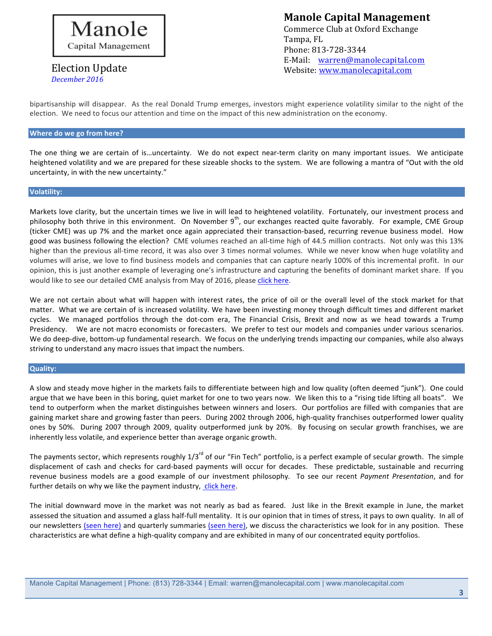

# **Manole Capital Management** Commerce Club at Oxford Exchange Tampa, FL

Phone: 813-728-3344 E-Mail: warren@manolecapital.com Website: www.manolecapital.com

bipartisanship will disappear. As the real Donald Trump emerges, investors might experience volatility similar to the night of the election. We need to focus our attention and time on the impact of this new administration on the economy.

### **Where do we go from here?**

The one thing we are certain of is...uncertainty. We do not expect near-term clarity on many important issues. We anticipate heightened volatility and we are prepared for these sizeable shocks to the system. We are following a mantra of "Out with the old uncertainty, in with the new uncertainty."

### **Volatility:**

Markets love clarity, but the uncertain times we live in will lead to heightened volatility. Fortunately, our investment process and philosophy both thrive in this environment. On November 9<sup>th</sup>, our exchanges reacted quite favorably. For example, CME Group (ticker CME) was up 7% and the market once again appreciated their transaction-based, recurring revenue business model. How good was business following the election? CME volumes reached an all-time high of 44.5 million contracts. Not only was this 13% higher than the previous all-time record, it was also over 3 times normal volumes. While we never know when huge volatility and volumes will arise, we love to find business models and companies that can capture nearly 100% of this incremental profit. In our opinion, this is just another example of leveraging one's infrastructure and capturing the benefits of dominant market share. If you would like to see our detailed CME analysis from May of 2016, please click here.

We are not certain about what will happen with interest rates, the price of oil or the overall level of the stock market for that matter. What we are certain of is increased volatility. We have been investing money through difficult times and different market cycles. We managed portfolios through the dot-com era, The Financial Crisis, Brexit and now as we head towards a Trump Presidency. We are not macro economists or forecasters. We prefer to test our models and companies under various scenarios. We do deep-dive, bottom-up fundamental research. We focus on the underlying trends impacting our companies, while also always striving to understand any macro issues that impact the numbers.

### **Quality:**

A slow and steady move higher in the markets fails to differentiate between high and low quality (often deemed "junk"). One could argue that we have been in this boring, quiet market for one to two years now. We liken this to a "rising tide lifting all boats". We tend to outperform when the market distinguishes between winners and losers. Our portfolios are filled with companies that are gaining market share and growing faster than peers. During 2002 through 2006, high-quality franchises outperformed lower quality ones by 50%. During 2007 through 2009, quality outperformed junk by 20%. By focusing on secular growth franchises, we are inherently less volatile, and experience better than average organic growth.

The payments sector, which represents roughly  $1/3^{rd}$  of our "Fin Tech" portfolio, is a perfect example of secular growth. The simple displacement of cash and checks for card-based payments will occur for decades. These predictable, sustainable and recurring revenue business models are a good example of our investment philosophy. To see our recent *Payment Presentation*, and for further details on why we like the payment industry, click here.

The initial downward move in the market was not nearly as bad as feared. Just like in the Brexit example in June, the market assessed the situation and assumed a glass half-full mentality. It is our opinion that in times of stress, it pays to own quality. In all of our newsletters (seen here) and quarterly summaries (seen here), we discuss the characteristics we look for in any position. These characteristics are what define a high-quality company and are exhibited in many of our concentrated equity portfolios.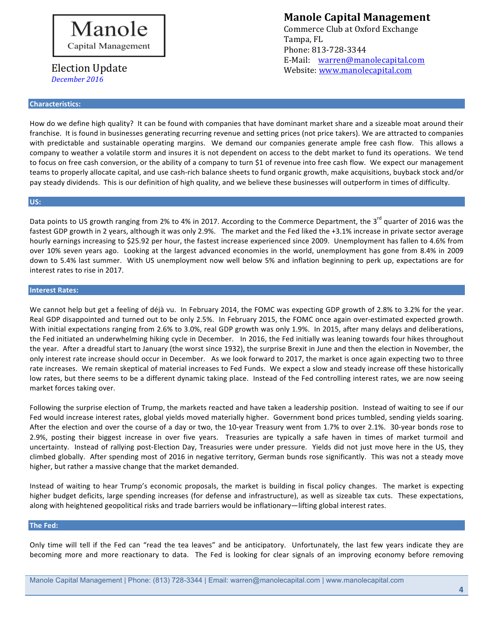

### **Characteristics:**

**Manole Capital Management** 

Commerce Club at Oxford Exchange Tampa, FL Phone: 813-728-3344 E-Mail: warren@manolecapital.com Website: www.manolecapital.com

How do we define high quality? It can be found with companies that have dominant market share and a sizeable moat around their franchise. It is found in businesses generating recurring revenue and setting prices (not price takers). We are attracted to companies with predictable and sustainable operating margins. We demand our companies generate ample free cash flow. This allows a company to weather a volatile storm and insures it is not dependent on access to the debt market to fund its operations. We tend to focus on free cash conversion, or the ability of a company to turn \$1 of revenue into free cash flow. We expect our management teams to properly allocate capital, and use cash-rich balance sheets to fund organic growth, make acquisitions, buyback stock and/or pay steady dividends. This is our definition of high quality, and we believe these businesses will outperform in times of difficulty.

### **US:**

Data points to US growth ranging from 2% to 4% in 2017. According to the Commerce Department, the 3<sup>rd</sup> quarter of 2016 was the fastest GDP growth in 2 years, although it was only 2.9%. The market and the Fed liked the +3.1% increase in private sector average hourly earnings increasing to \$25.92 per hour, the fastest increase experienced since 2009. Unemployment has fallen to 4.6% from over 10% seven years ago. Looking at the largest advanced economies in the world, unemployment has gone from 8.4% in 2009 down to 5.4% last summer. With US unemployment now well below 5% and inflation beginning to perk up, expectations are for interest rates to rise in 2017.

### **Interest Rates:**

We cannot help but get a feeling of déjà vu. In February 2014, the FOMC was expecting GDP growth of 2.8% to 3.2% for the year. Real GDP disappointed and turned out to be only 2.5%. In February 2015, the FOMC once again over-estimated expected growth. With initial expectations ranging from 2.6% to 3.0%, real GDP growth was only 1.9%. In 2015, after many delays and deliberations, the Fed initiated an underwhelming hiking cycle in December. In 2016, the Fed initially was leaning towards four hikes throughout the year. After a dreadful start to January (the worst since 1932), the surprise Brexit in June and then the election in November, the only interest rate increase should occur in December. As we look forward to 2017, the market is once again expecting two to three rate increases. We remain skeptical of material increases to Fed Funds. We expect a slow and steady increase off these historically low rates, but there seems to be a different dynamic taking place. Instead of the Fed controlling interest rates, we are now seeing market forces taking over.

Following the surprise election of Trump, the markets reacted and have taken a leadership position. Instead of waiting to see if our Fed would increase interest rates, global yields moved materially higher. Government bond prices tumbled, sending yields soaring. After the election and over the course of a day or two, the 10-year Treasury went from 1.7% to over 2.1%. 30-year bonds rose to 2.9%, posting their biggest increase in over five years. Treasuries are typically a safe haven in times of market turmoil and uncertainty. Instead of rallying post-Election Day, Treasuries were under pressure. Yields did not just move here in the US, they climbed globally. After spending most of 2016 in negative territory, German bunds rose significantly. This was not a steady move higher, but rather a massive change that the market demanded.

Instead of waiting to hear Trump's economic proposals, the market is building in fiscal policy changes. The market is expecting higher budget deficits, large spending increases (for defense and infrastructure), as well as sizeable tax cuts. These expectations, along with heightened geopolitical risks and trade barriers would be inflationary—lifting global interest rates.

### **The Fed:**

Only time will tell if the Fed can "read the tea leaves" and be anticipatory. Unfortunately, the last few years indicate they are becoming more and more reactionary to data. The Fed is looking for clear signals of an improving economy before removing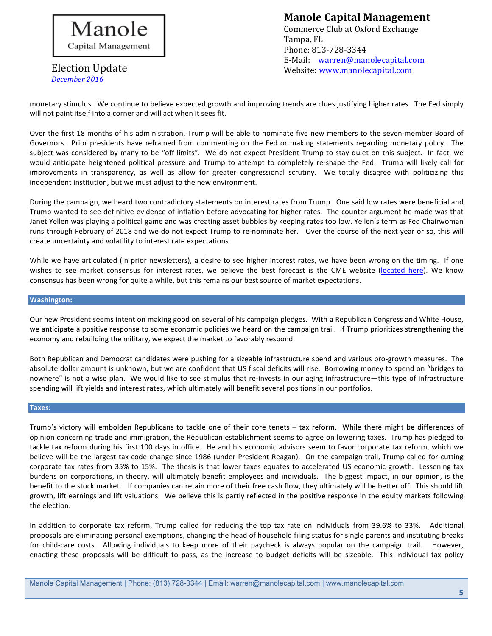

## **Manole Capital Management**

Commerce Club at Oxford Exchange Tampa, FL Phone: 813-728-3344 E-Mail: warren@manolecapital.com Website: www.manolecapital.com

monetary stimulus. We continue to believe expected growth and improving trends are clues justifying higher rates. The Fed simply will not paint itself into a corner and will act when it sees fit.

Over the first 18 months of his administration, Trump will be able to nominate five new members to the seven-member Board of Governors. Prior presidents have refrained from commenting on the Fed or making statements regarding monetary policy. The subject was considered by many to be "off limits". We do not expect President Trump to stay quiet on this subject. In fact, we would anticipate heightened political pressure and Trump to attempt to completely re-shape the Fed. Trump will likely call for improvements in transparency, as well as allow for greater congressional scrutiny. We totally disagree with politicizing this independent institution, but we must adjust to the new environment.

During the campaign, we heard two contradictory statements on interest rates from Trump. One said low rates were beneficial and Trump wanted to see definitive evidence of inflation before advocating for higher rates. The counter argument he made was that Janet Yellen was playing a political game and was creating asset bubbles by keeping rates too low. Yellen's term as Fed Chairwoman runs through February of 2018 and we do not expect Trump to re-nominate her. Over the course of the next year or so, this will create uncertainty and volatility to interest rate expectations.

While we have articulated (in prior newsletters), a desire to see higher interest rates, we have been wrong on the timing. If one wishes to see market consensus for interest rates, we believe the best forecast is the CME website (located here). We know consensus has been wrong for quite a while, but this remains our best source of market expectations.

### **Washington:**

Our new President seems intent on making good on several of his campaign pledges. With a Republican Congress and White House, we anticipate a positive response to some economic policies we heard on the campaign trail. If Trump prioritizes strengthening the economy and rebuilding the military, we expect the market to favorably respond.

Both Republican and Democrat candidates were pushing for a sizeable infrastructure spend and various pro-growth measures. The absolute dollar amount is unknown, but we are confident that US fiscal deficits will rise. Borrowing money to spend on "bridges to nowhere" is not a wise plan. We would like to see stimulus that re-invests in our aging infrastructure—this type of infrastructure spending will lift yields and interest rates, which ultimately will benefit several positions in our portfolios.

### **Taxes:**

Trump's victory will embolden Republicans to tackle one of their core tenets - tax reform. While there might be differences of opinion concerning trade and immigration, the Republican establishment seems to agree on lowering taxes. Trump has pledged to tackle tax reform during his first 100 days in office. He and his economic advisors seem to favor corporate tax reform, which we believe will be the largest tax-code change since 1986 (under President Reagan). On the campaign trail, Trump called for cutting corporate tax rates from 35% to 15%. The thesis is that lower taxes equates to accelerated US economic growth. Lessening tax burdens on corporations, in theory, will ultimately benefit employees and individuals. The biggest impact, in our opinion, is the benefit to the stock market. If companies can retain more of their free cash flow, they ultimately will be better off. This should lift growth, lift earnings and lift valuations. We believe this is partly reflected in the positive response in the equity markets following the election.

In addition to corporate tax reform, Trump called for reducing the top tax rate on individuals from 39.6% to 33%. Additional proposals are eliminating personal exemptions, changing the head of household filing status for single parents and instituting breaks for child-care costs. Allowing individuals to keep more of their paycheck is always popular on the campaign trail. However, enacting these proposals will be difficult to pass, as the increase to budget deficits will be sizeable. This individual tax policy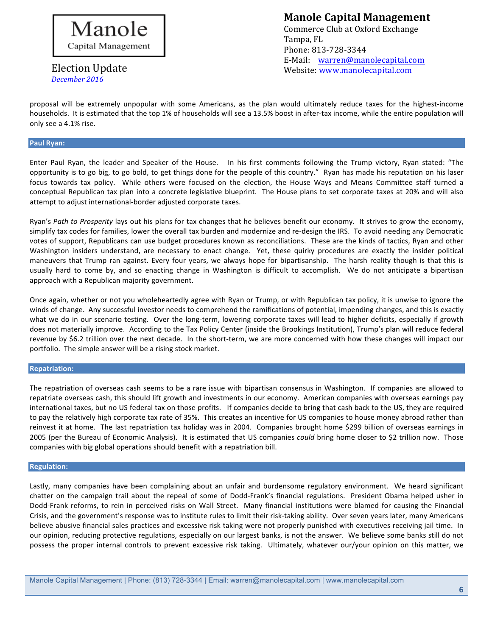

# **Manole Capital Management**

Commerce Club at Oxford Exchange Tampa, FL Phone: 813-728-3344 E-Mail: warren@manolecapital.com Website: www.manolecapital.com

proposal will be extremely unpopular with some Americans, as the plan would ultimately reduce taxes for the highest-income households. It is estimated that the top 1% of households will see a 13.5% boost in after-tax income, while the entire population will only see a 4.1% rise.

### **Paul Ryan:**

Enter Paul Ryan, the leader and Speaker of the House. In his first comments following the Trump victory, Ryan stated: "The opportunity is to go big, to go bold, to get things done for the people of this country." Ryan has made his reputation on his laser focus towards tax policy. While others were focused on the election, the House Ways and Means Committee staff turned a conceptual Republican tax plan into a concrete legislative blueprint. The House plans to set corporate taxes at 20% and will also attempt to adjust international-border adjusted corporate taxes.

Ryan's Path to Prosperity lays out his plans for tax changes that he believes benefit our economy. It strives to grow the economy, simplify tax codes for families, lower the overall tax burden and modernize and re-design the IRS. To avoid needing any Democratic votes of support, Republicans can use budget procedures known as reconciliations. These are the kinds of tactics, Ryan and other Washington insiders understand, are necessary to enact change. Yet, these quirky procedures are exactly the insider political maneuvers that Trump ran against. Every four years, we always hope for bipartisanship. The harsh reality though is that this is usually hard to come by, and so enacting change in Washington is difficult to accomplish. We do not anticipate a bipartisan approach with a Republican majority government.

Once again, whether or not you wholeheartedly agree with Ryan or Trump, or with Republican tax policy, it is unwise to ignore the winds of change. Any successful investor needs to comprehend the ramifications of potential, impending changes, and this is exactly what we do in our scenario testing. Over the long-term, lowering corporate taxes will lead to higher deficits, especially if growth does not materially improve. According to the Tax Policy Center (inside the Brookings Institution), Trump's plan will reduce federal revenue by \$6.2 trillion over the next decade. In the short-term, we are more concerned with how these changes will impact our portfolio. The simple answer will be a rising stock market.

### **Repatriation:**

The repatriation of overseas cash seems to be a rare issue with bipartisan consensus in Washington. If companies are allowed to repatriate overseas cash, this should lift growth and investments in our economy. American companies with overseas earnings pay international taxes, but no US federal tax on those profits. If companies decide to bring that cash back to the US, they are required to pay the relatively high corporate tax rate of 35%. This creates an incentive for US companies to house money abroad rather than reinvest it at home. The last repatriation tax holiday was in 2004. Companies brought home \$299 billion of overseas earnings in 2005 (per the Bureau of Economic Analysis). It is estimated that US companies *could* bring home closer to \$2 trillion now. Those companies with big global operations should benefit with a repatriation bill.

### **Regulation:**

Lastly, many companies have been complaining about an unfair and burdensome regulatory environment. We heard significant chatter on the campaign trail about the repeal of some of Dodd-Frank's financial regulations. President Obama helped usher in Dodd-Frank reforms, to rein in perceived risks on Wall Street. Many financial institutions were blamed for causing the Financial Crisis, and the government's response was to institute rules to limit their risk-taking ability. Over seven years later, many Americans believe abusive financial sales practices and excessive risk taking were not properly punished with executives receiving jail time. In our opinion, reducing protective regulations, especially on our largest banks, is not the answer. We believe some banks still do not possess the proper internal controls to prevent excessive risk taking. Ultimately, whatever our/your opinion on this matter, we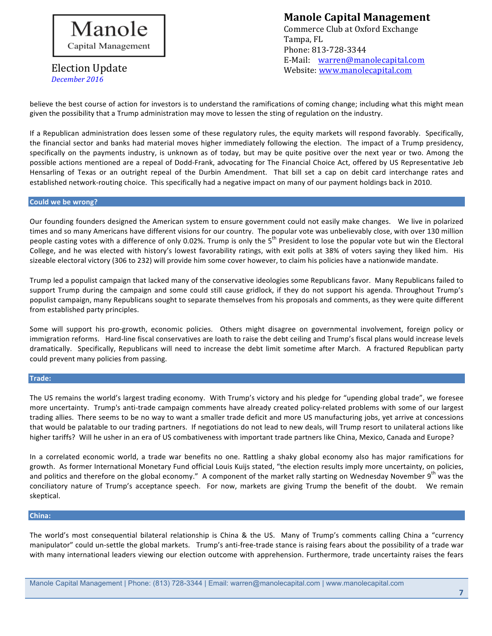

# **Manole Capital Management**

Commerce Club at Oxford Exchange Tampa, FL Phone: 813-728-3344 E-Mail: warren@manolecapital.com Website: www.manolecapital.com

believe the best course of action for investors is to understand the ramifications of coming change; including what this might mean given the possibility that a Trump administration may move to lessen the sting of regulation on the industry.

If a Republican administration does lessen some of these regulatory rules, the equity markets will respond favorably. Specifically, the financial sector and banks had material moves higher immediately following the election. The impact of a Trump presidency, specifically on the payments industry, is unknown as of today, but may be quite positive over the next year or two. Among the possible actions mentioned are a repeal of Dodd-Frank, advocating for The Financial Choice Act, offered by US Representative Jeb Hensarling of Texas or an outright repeal of the Durbin Amendment. That bill set a cap on debit card interchange rates and established network-routing choice. This specifically had a negative impact on many of our payment holdings back in 2010.

### **Could we be wrong?**

Our founding founders designed the American system to ensure government could not easily make changes. We live in polarized times and so many Americans have different visions for our country. The popular vote was unbelievably close, with over 130 million people casting votes with a difference of only 0.02%. Trump is only the 5<sup>th</sup> President to lose the popular vote but win the Electoral College, and he was elected with history's lowest favorability ratings, with exit polls at 38% of voters saying they liked him. His sizeable electoral victory (306 to 232) will provide him some cover however, to claim his policies have a nationwide mandate.

Trump led a populist campaign that lacked many of the conservative ideologies some Republicans favor. Many Republicans failed to support Trump during the campaign and some could still cause gridlock, if they do not support his agenda. Throughout Trump's populist campaign, many Republicans sought to separate themselves from his proposals and comments, as they were quite different from established party principles.

Some will support his pro-growth, economic policies. Others might disagree on governmental involvement, foreign policy or immigration reforms. Hard-line fiscal conservatives are loath to raise the debt ceiling and Trump's fiscal plans would increase levels dramatically. Specifically, Republicans will need to increase the debt limit sometime after March. A fractured Republican party could prevent many policies from passing.

### **Trade:**

The US remains the world's largest trading economy. With Trump's victory and his pledge for "upending global trade", we foresee more uncertainty. Trump's anti-trade campaign comments have already created policy-related problems with some of our largest trading allies. There seems to be no way to want a smaller trade deficit and more US manufacturing jobs, yet arrive at concessions that would be palatable to our trading partners. If negotiations do not lead to new deals, will Trump resort to unilateral actions like higher tariffs? Will he usher in an era of US combativeness with important trade partners like China, Mexico, Canada and Europe?

In a correlated economic world, a trade war benefits no one. Rattling a shaky global economy also has major ramifications for growth. As former International Monetary Fund official Louis Kuijs stated, "the election results imply more uncertainty, on policies, and politics and therefore on the global economy." A component of the market rally starting on Wednesday November 9<sup>th</sup> was the conciliatory nature of Trump's acceptance speech. For now, markets are giving Trump the benefit of the doubt. We remain skeptical.

### **China:**

The world's most consequential bilateral relationship is China & the US. Many of Trump's comments calling China a "currency manipulator" could un-settle the global markets. Trump's anti-free-trade stance is raising fears about the possibility of a trade war with many international leaders viewing our election outcome with apprehension. Furthermore, trade uncertainty raises the fears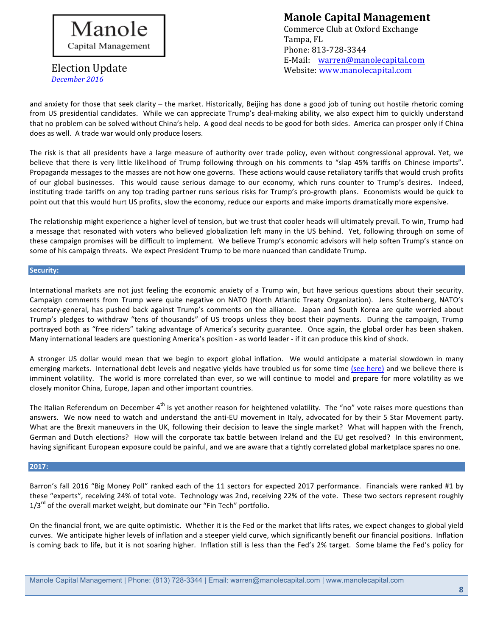

## **Manole Capital Management**

Commerce Club at Oxford Exchange Tampa, FL Phone: 813-728-3344 E-Mail: warren@manolecapital.com Website: www.manolecapital.com

and anxiety for those that seek clarity – the market. Historically, Beijing has done a good job of tuning out hostile rhetoric coming from US presidential candidates. While we can appreciate Trump's deal-making ability, we also expect him to quickly understand that no problem can be solved without China's help. A good deal needs to be good for both sides. America can prosper only if China does as well. A trade war would only produce losers.

The risk is that all presidents have a large measure of authority over trade policy, even without congressional approval. Yet, we believe that there is very little likelihood of Trump following through on his comments to "slap 45% tariffs on Chinese imports". Propaganda messages to the masses are not how one governs. These actions would cause retaliatory tariffs that would crush profits of our global businesses. This would cause serious damage to our economy, which runs counter to Trump's desires. Indeed, instituting trade tariffs on any top trading partner runs serious risks for Trump's pro-growth plans. Economists would be quick to point out that this would hurt US profits, slow the economy, reduce our exports and make imports dramatically more expensive.

The relationship might experience a higher level of tension, but we trust that cooler heads will ultimately prevail. To win, Trump had a message that resonated with voters who believed globalization left many in the US behind. Yet, following through on some of these campaign promises will be difficult to implement. We believe Trump's economic advisors will help soften Trump's stance on some of his campaign threats. We expect President Trump to be more nuanced than candidate Trump.

### **Security:**

International markets are not just feeling the economic anxiety of a Trump win, but have serious questions about their security. Campaign comments from Trump were quite negative on NATO (North Atlantic Treaty Organization). Jens Stoltenberg, NATO's secretary-general, has pushed back against Trump's comments on the alliance. Japan and South Korea are quite worried about Trump's pledges to withdraw "tens of thousands" of US troops unless they boost their payments. During the campaign, Trump portrayed both as "free riders" taking advantage of America's security guarantee. Once again, the global order has been shaken. Many international leaders are questioning America's position - as world leader - if it can produce this kind of shock.

A stronger US dollar would mean that we begin to export global inflation. We would anticipate a material slowdown in many emerging markets. International debt levels and negative yields have troubled us for some time (see here) and we believe there is imminent volatility. The world is more correlated than ever, so we will continue to model and prepare for more volatility as we closely monitor China, Europe, Japan and other important countries.

The Italian Referendum on December  $4^{th}$  is yet another reason for heightened volatility. The "no" vote raises more questions than answers. We now need to watch and understand the anti-EU movement in Italy, advocated for by their 5 Star Movement party. What are the Brexit maneuvers in the UK, following their decision to leave the single market? What will happen with the French, German and Dutch elections? How will the corporate tax battle between Ireland and the EU get resolved? In this environment, having significant European exposure could be painful, and we are aware that a tightly correlated global marketplace spares no one.

### **2017:**

Barron's fall 2016 "Big Money Poll" ranked each of the 11 sectors for expected 2017 performance. Financials were ranked #1 by these "experts", receiving 24% of total vote. Technology was 2nd, receiving 22% of the vote. These two sectors represent roughly  $1/3^{rd}$  of the overall market weight, but dominate our "Fin Tech" portfolio.

On the financial front, we are quite optimistic. Whether it is the Fed or the market that lifts rates, we expect changes to global yield curves. We anticipate higher levels of inflation and a steeper yield curve, which significantly benefit our financial positions. Inflation is coming back to life, but it is not soaring higher. Inflation still is less than the Fed's 2% target. Some blame the Fed's policy for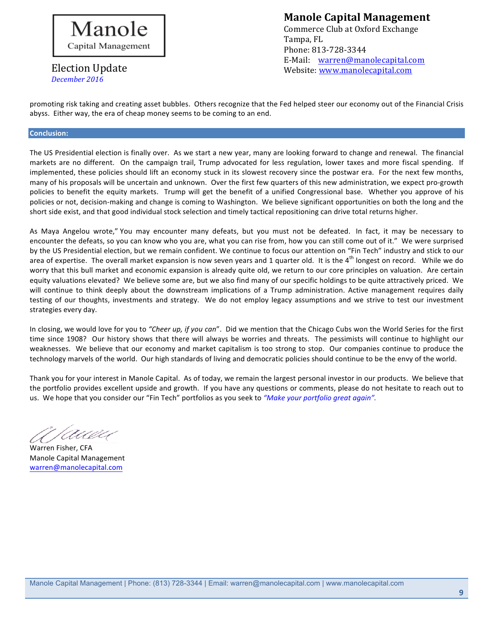

## **Manole Capital Management**

Commerce Club at Oxford Exchange Tampa, FL Phone: 813-728-3344 E-Mail: warren@manolecapital.com Website: www.manolecapital.com

promoting risk taking and creating asset bubbles. Others recognize that the Fed helped steer our economy out of the Financial Crisis abyss. Either way, the era of cheap money seems to be coming to an end.

### **Conclusion:**

The US Presidential election is finally over. As we start a new year, many are looking forward to change and renewal. The financial markets are no different. On the campaign trail, Trump advocated for less regulation, lower taxes and more fiscal spending. If implemented, these policies should lift an economy stuck in its slowest recovery since the postwar era. For the next few months, many of his proposals will be uncertain and unknown. Over the first few quarters of this new administration, we expect pro-growth policies to benefit the equity markets. Trump will get the benefit of a unified Congressional base. Whether you approve of his policies or not, decision-making and change is coming to Washington. We believe significant opportunities on both the long and the short side exist, and that good individual stock selection and timely tactical repositioning can drive total returns higher.

As Maya Angelou wrote," You may encounter many defeats, but you must not be defeated. In fact, it may be necessary to encounter the defeats, so you can know who you are, what you can rise from, how you can still come out of it." We were surprised by the US Presidential election, but we remain confident. We continue to focus our attention on "Fin Tech" industry and stick to our area of expertise. The overall market expansion is now seven years and 1 quarter old. It is the  $4<sup>th</sup>$  longest on record. While we do worry that this bull market and economic expansion is already quite old, we return to our core principles on valuation. Are certain equity valuations elevated? We believe some are, but we also find many of our specific holdings to be quite attractively priced. We will continue to think deeply about the downstream implications of a Trump administration. Active management requires daily testing of our thoughts, investments and strategy. We do not employ legacy assumptions and we strive to test our investment strategies every day.

In closing, we would love for you to "Cheer up, if you can". Did we mention that the Chicago Cubs won the World Series for the first time since 1908? Our history shows that there will always be worries and threats. The pessimists will continue to highlight our weaknesses. We believe that our economy and market capitalism is too strong to stop. Our companies continue to produce the technology marvels of the world. Our high standards of living and democratic policies should continue to be the envy of the world.

Thank you for your interest in Manole Capital. As of today, we remain the largest personal investor in our products. We believe that the portfolio provides excellent upside and growth. If you have any questions or comments, please do not hesitate to reach out to us. We hope that you consider our "Fin Tech" portfolios as you seek to "Make your portfolio great again".

Auan

Warren Fisher, CFA Manole Capital Management warren@manolecapital.com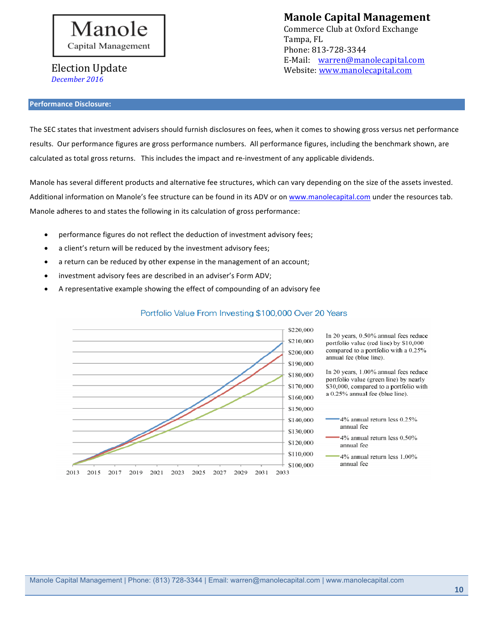

**Manole Capital Management** 

Commerce Club at Oxford Exchange Tampa, FL Phone: 813-728-3344 E-Mail: warren@manolecapital.com Website: www.manolecapital.com

### **Performance Disclosure:**

The SEC states that investment advisers should furnish disclosures on fees, when it comes to showing gross versus net performance results. Our performance figures are gross performance numbers. All performance figures, including the benchmark shown, are calculated as total gross returns. This includes the impact and re-investment of any applicable dividends.

Manole has several different products and alternative fee structures, which can vary depending on the size of the assets invested. Additional information on Manole's fee structure can be found in its ADV or on www.manolecapital.com under the resources tab. Manole adheres to and states the following in its calculation of gross performance:

- performance figures do not reflect the deduction of investment advisory fees;
- a client's return will be reduced by the investment advisory fees;
- a return can be reduced by other expense in the management of an account;
- investment advisory fees are described in an adviser's Form ADV;
- A representative example showing the effect of compounding of an advisory fee



### Portfolio Value From Investing \$100,000 Over 20 Years